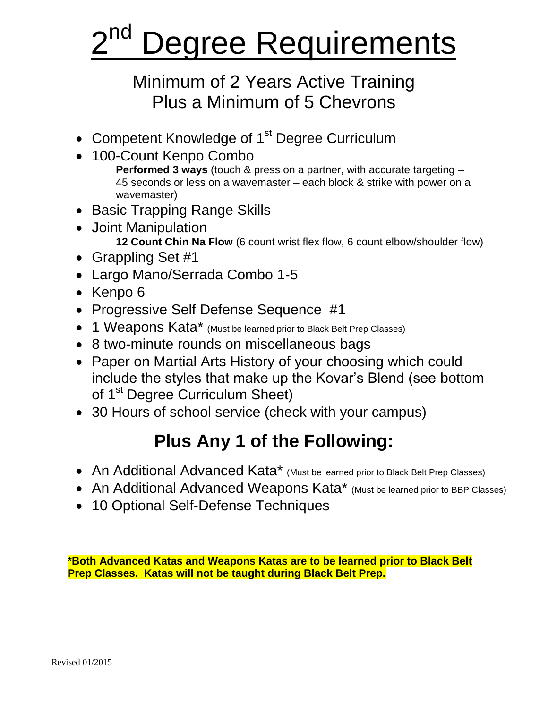# 2 Degree Requirements

# Minimum of 2 Years Active Training Plus a Minimum of 5 Chevrons

- Competent Knowledge of 1<sup>st</sup> Degree Curriculum
- 100-Count Kenpo Combo **Performed 3 ways** (touch & press on a partner, with accurate targeting – 45 seconds or less on a wavemaster – each block & strike with power on a wavemaster)
- Basic Trapping Range Skills
- Joint Manipulation  **12 Count Chin Na Flow** (6 count wrist flex flow, 6 count elbow/shoulder flow)
- Grappling Set #1
- Largo Mano/Serrada Combo 1-5
- Kenpo 6
- Progressive Self Defense Sequence #1
- 1 Weapons Kata\* (Must be learned prior to Black Belt Prep Classes)
- 8 two-minute rounds on miscellaneous bags
- Paper on Martial Arts History of your choosing which could include the styles that make up the Kovar's Blend (see bottom of 1<sup>st</sup> Degree Curriculum Sheet)
- 30 Hours of school service (check with your campus)

# **Plus Any 1 of the Following:**

- An Additional Advanced Kata\* (Must be learned prior to Black Belt Prep Classes)
- An Additional Advanced Weapons Kata\* (Must be learned prior to BBP Classes)
- 10 Optional Self-Defense Techniques

**\*Both Advanced Katas and Weapons Katas are to be learned prior to Black Belt Prep Classes. Katas will not be taught during Black Belt Prep.**